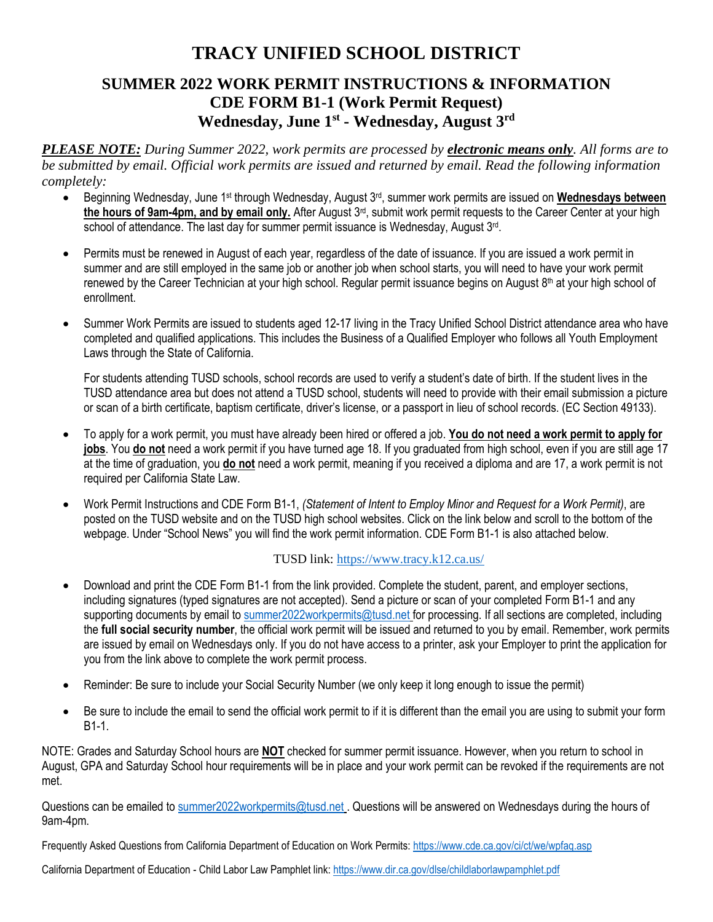# **TRACY UNIFIED SCHOOL DISTRICT**

# **SUMMER 2022 WORK PERMIT INSTRUCTIONS & INFORMATION CDE FORM B1-1 (Work Permit Request) Wednesday, June 1st - Wednesday, August 3rd**

*PLEASE NOTE: During Summer 2022, work permits are processed by electronic means only. All forms are to be submitted by email. Official work permits are issued and returned by email. Read the following information completely:*

- Beginning Wednesday, June 1<sup>st</sup> through Wednesday, August 3<sup>rd</sup>, summer work permits are issued on **Wednesdays between the hours of 9am-4pm, and by email only.** After August 3rd, submit work permit requests to the Career Center at your high school of attendance. The last day for summer permit issuance is Wednesday, August 3<sup>rd</sup>.
- Permits must be renewed in August of each year, regardless of the date of issuance. If you are issued a work permit in summer and are still employed in the same job or another job when school starts, you will need to have your work permit renewed by the Career Technician at your high school. Regular permit issuance begins on August 8<sup>th</sup> at your high school of enrollment.
- Summer Work Permits are issued to students aged 12-17 living in the Tracy Unified School District attendance area who have completed and qualified applications. This includes the Business of a Qualified Employer who follows all Youth Employment Laws through the State of California.

For students attending TUSD schools, school records are used to verify a student's date of birth. If the student lives in the TUSD attendance area but does not attend a TUSD school, students will need to provide with their email submission a picture or scan of a birth certificate, baptism certificate, driver's license, or a passport in lieu of school records. (EC Section 49133).

- To apply for a work permit, you must have already been hired or offered a job. **You do not need a work permit to apply for jobs**. You **do not** need a work permit if you have turned age 18. If you graduated from high school, even if you are still age 17 at the time of graduation, you **do not** need a work permit, meaning if you received a diploma and are 17, a work permit is not required per California State Law.
- Work Permit Instructions and CDE Form B1-1, *(Statement of Intent to Employ Minor and Request for a Work Permit)*, are posted on the TUSD website and on the TUSD high school websites. Click on the link below and scroll to the bottom of the webpage. Under "School News" you will find the work permit information. CDE Form B1-1 is also attached below.

# TUSD link: <https://www.tracy.k12.ca.us/>

- Download and print the CDE Form B1-1 from the link provided. Complete the student, parent, and employer sections, including signatures (typed signatures are not accepted). Send a picture or scan of your completed Form B1-1 and any supporting documents by email to [summer2022workpermits@tusd.net](mailto:summer2022workpermits@tusd.net) for processing. If all sections are completed, including the **full social security number**, the official work permit will be issued and returned to you by email. Remember, work permits are issued by email on Wednesdays only. If you do not have access to a printer, ask your Employer to print the application for you from the link above to complete the work permit process.
- Reminder: Be sure to include your Social Security Number (we only keep it long enough to issue the permit)
- Be sure to include the email to send the official work permit to if it is different than the email you are using to submit your form B1-1.

NOTE: Grades and Saturday School hours are **NOT** checked for summer permit issuance. However, when you return to school in August, GPA and Saturday School hour requirements will be in place and your work permit can be revoked if the requirements are not met.

Questions can be emailed to [summer2022workpermits@tusd.net](mailto:summer2022workpermits@tusd.net) . Questions will be answered on Wednesdays during the hours of 9am-4pm.

Frequently Asked Questions from California Department of Education on Work Permits:<https://www.cde.ca.gov/ci/ct/we/wpfaq.asp>

California Department of Education - Child Labor Law Pamphlet link: <https://www.dir.ca.gov/dlse/childlaborlawpamphlet.pdf>